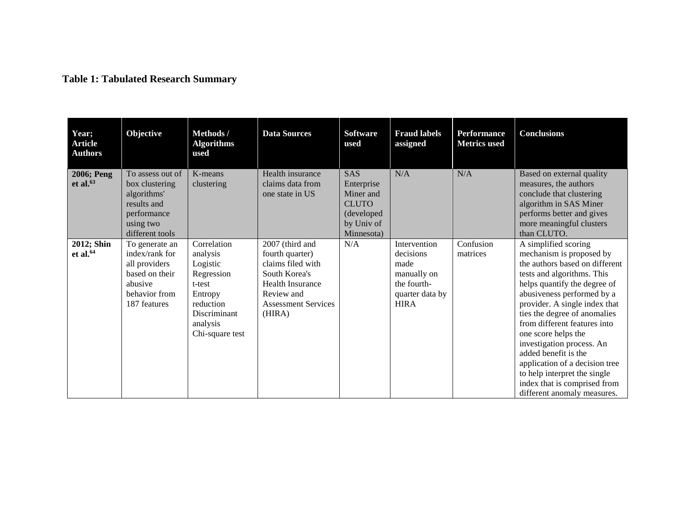## **Table 1: Tabulated Research Summary**

| Year;<br><b>Article</b><br><b>Authors</b> | Objective                                                                                                       | Methods /<br><b>Algorithms</b><br>used                                                                                             | <b>Data Sources</b>                                                                                                                                       | <b>Software</b><br>used                                                                  | <b>Fraud labels</b><br>assigned                                                                   | <b>Performance</b><br><b>Metrics</b> used | <b>Conclusions</b>                                                                                                                                                                                                                                                                                                                                                                                                                                                                           |
|-------------------------------------------|-----------------------------------------------------------------------------------------------------------------|------------------------------------------------------------------------------------------------------------------------------------|-----------------------------------------------------------------------------------------------------------------------------------------------------------|------------------------------------------------------------------------------------------|---------------------------------------------------------------------------------------------------|-------------------------------------------|----------------------------------------------------------------------------------------------------------------------------------------------------------------------------------------------------------------------------------------------------------------------------------------------------------------------------------------------------------------------------------------------------------------------------------------------------------------------------------------------|
| 2006; Peng<br>et al. $63$                 | To assess out of<br>box clustering<br>algorithms'<br>results and<br>performance<br>using two<br>different tools | K-means<br>clustering                                                                                                              | Health insurance<br>claims data from<br>one state in US                                                                                                   | SAS<br>Enterprise<br>Miner and<br><b>CLUTO</b><br>(developed<br>by Univ of<br>Minnesota) | N/A                                                                                               | N/A                                       | Based on external quality<br>measures, the authors<br>conclude that clustering<br>algorithm in SAS Miner<br>performs better and gives<br>more meaningful clusters<br>than CLUTO.                                                                                                                                                                                                                                                                                                             |
| 2012; Shin<br>et al. $64$                 | To generate an<br>index/rank for<br>all providers<br>based on their<br>abusive<br>behavior from<br>187 features | Correlation<br>analysis<br>Logistic<br>Regression<br>t-test<br>Entropy<br>reduction<br>Discriminant<br>analysis<br>Chi-square test | 2007 (third and<br>fourth quarter)<br>claims filed with<br>South Korea's<br><b>Health Insurance</b><br>Review and<br><b>Assessment Services</b><br>(HIRA) | N/A                                                                                      | Intervention<br>decisions<br>made<br>manually on<br>the fourth-<br>quarter data by<br><b>HIRA</b> | Confusion<br>matrices                     | A simplified scoring<br>mechanism is proposed by<br>the authors based on different<br>tests and algorithms. This<br>helps quantify the degree of<br>abusiveness performed by a<br>provider. A single index that<br>ties the degree of anomalies<br>from different features into<br>one score helps the<br>investigation process. An<br>added benefit is the<br>application of a decision tree<br>to help interpret the single<br>index that is comprised from<br>different anomaly measures. |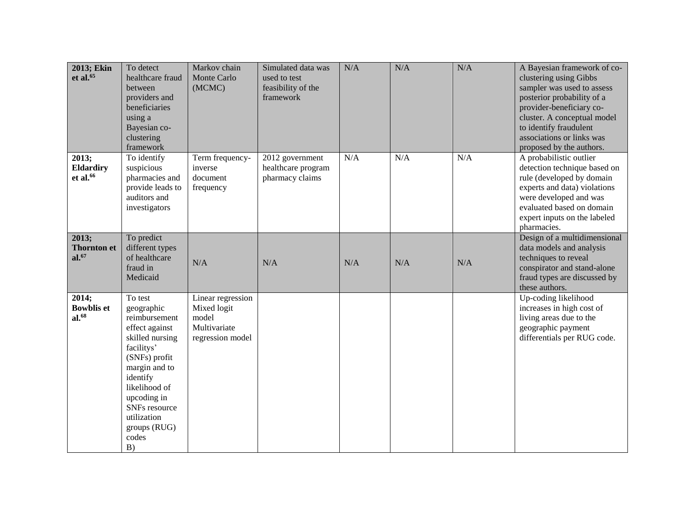| 2013; Ekin<br>et al. $65$                        | To detect<br>healthcare fraud<br>between<br>providers and<br>beneficiaries<br>using a<br>Bayesian co-<br>clustering<br>framework                                                                                                       | Markov chain<br>Monte Carlo<br>(MCMC)                                         | Simulated data was<br>used to test<br>feasibility of the<br>framework | N/A | N/A | N/A | A Bayesian framework of co-<br>clustering using Gibbs<br>sampler was used to assess<br>posterior probability of a<br>provider-beneficiary co-<br>cluster. A conceptual model<br>to identify fraudulent<br>associations or links was<br>proposed by the authors. |
|--------------------------------------------------|----------------------------------------------------------------------------------------------------------------------------------------------------------------------------------------------------------------------------------------|-------------------------------------------------------------------------------|-----------------------------------------------------------------------|-----|-----|-----|-----------------------------------------------------------------------------------------------------------------------------------------------------------------------------------------------------------------------------------------------------------------|
| 2013;<br><b>Eldardiry</b><br>et al. $66$         | To identify<br>suspicious<br>pharmacies and<br>provide leads to<br>auditors and<br>investigators                                                                                                                                       | Term frequency-<br>inverse<br>document<br>frequency                           | 2012 government<br>healthcare program<br>pharmacy claims              | N/A | N/A | N/A | A probabilistic outlier<br>detection technique based on<br>rule (developed by domain<br>experts and data) violations<br>were developed and was<br>evaluated based on domain<br>expert inputs on the labeled<br>pharmacies.                                      |
| 2013;<br><b>Thornton et</b><br>al. <sup>67</sup> | To predict<br>different types<br>of healthcare<br>fraud in<br>Medicaid                                                                                                                                                                 | N/A                                                                           | N/A                                                                   | N/A | N/A | N/A | Design of a multidimensional<br>data models and analysis<br>techniques to reveal<br>conspirator and stand-alone<br>fraud types are discussed by<br>these authors.                                                                                               |
| 2014;<br><b>Bowblis et</b><br>$al.^{68}$         | To test<br>geographic<br>reimbursement<br>effect against<br>skilled nursing<br>facilitys'<br>(SNFs) profit<br>margin and to<br>identify<br>likelihood of<br>upcoding in<br>SNFs resource<br>utilization<br>groups (RUG)<br>codes<br>B) | Linear regression<br>Mixed logit<br>model<br>Multivariate<br>regression model |                                                                       |     |     |     | Up-coding likelihood<br>increases in high cost of<br>living areas due to the<br>geographic payment<br>differentials per RUG code.                                                                                                                               |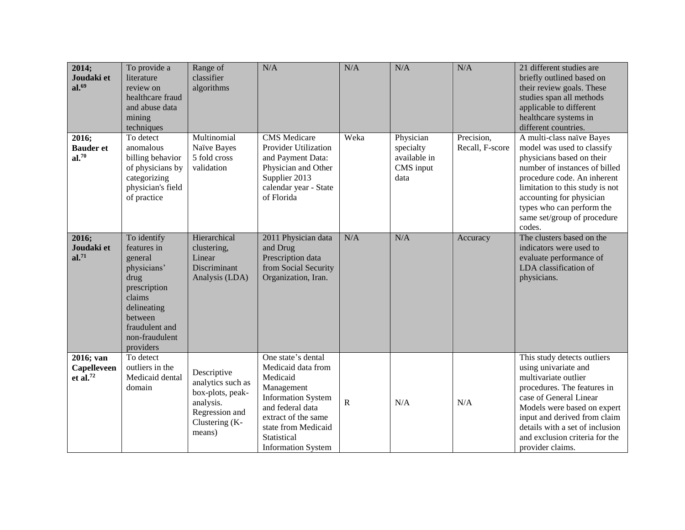| 2014;<br>Joudaki et<br>al. <sup>69</sup>       | To provide a<br>literature<br>review on<br>healthcare fraud<br>and abuse data<br>mining<br>techniques                                                             | Range of<br>classifier<br>algorithms                                                                            | N/A                                                                                                                                                                                                           | N/A       | N/A                                                         | N/A                           | 21 different studies are<br>briefly outlined based on<br>their review goals. These<br>studies span all methods<br>applicable to different<br>healthcare systems in<br>different countries.                                                                                                   |
|------------------------------------------------|-------------------------------------------------------------------------------------------------------------------------------------------------------------------|-----------------------------------------------------------------------------------------------------------------|---------------------------------------------------------------------------------------------------------------------------------------------------------------------------------------------------------------|-----------|-------------------------------------------------------------|-------------------------------|----------------------------------------------------------------------------------------------------------------------------------------------------------------------------------------------------------------------------------------------------------------------------------------------|
| 2016;<br><b>Bauder et</b><br>al. <sup>70</sup> | To detect<br>anomalous<br>billing behavior<br>of physicians by<br>categorizing<br>physician's field<br>of practice                                                | Multinomial<br>Naïve Bayes<br>5 fold cross<br>validation                                                        | <b>CMS</b> Medicare<br><b>Provider Utilization</b><br>and Payment Data:<br>Physician and Other<br>Supplier 2013<br>calendar year - State<br>of Florida                                                        | Weka      | Physician<br>specialty<br>available in<br>CMS input<br>data | Precision,<br>Recall, F-score | A multi-class naïve Bayes<br>model was used to classify<br>physicians based on their<br>number of instances of billed<br>procedure code. An inherent<br>limitation to this study is not<br>accounting for physician<br>types who can perform the<br>same set/group of procedure<br>codes.    |
| 2016;<br>Joudaki et<br>al. <sup>71</sup>       | To identify<br>features in<br>general<br>physicians'<br>drug<br>prescription<br>claims<br>delineating<br>between<br>fraudulent and<br>non-fraudulent<br>providers | Hierarchical<br>clustering,<br>Linear<br>Discriminant<br>Analysis (LDA)                                         | 2011 Physician data<br>and Drug<br>Prescription data<br>from Social Security<br>Organization, Iran.                                                                                                           | N/A       | N/A                                                         | Accuracy                      | The clusters based on the<br>indicators were used to<br>evaluate performance of<br>LDA classification of<br>physicians.                                                                                                                                                                      |
| 2016; van<br><b>Capelleveen</b><br>et al. $72$ | To detect<br>outliers in the<br>Medicaid dental<br>domain                                                                                                         | Descriptive<br>analytics such as<br>box-plots, peak-<br>analysis.<br>Regression and<br>Clustering (K-<br>means) | One state's dental<br>Medicaid data from<br>Medicaid<br>Management<br><b>Information System</b><br>and federal data<br>extract of the same<br>state from Medicaid<br>Statistical<br><b>Information System</b> | ${\bf R}$ | N/A                                                         | N/A                           | This study detects outliers<br>using univariate and<br>multivariate outlier<br>procedures. The features in<br>case of General Linear<br>Models were based on expert<br>input and derived from claim<br>details with a set of inclusion<br>and exclusion criteria for the<br>provider claims. |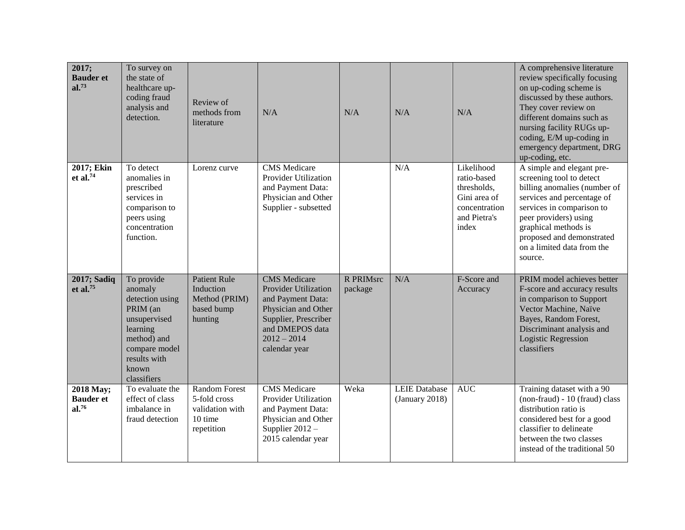| 2017;<br><b>Bauder et</b><br>al. <sup>73</sup>     | To survey on<br>the state of<br>healthcare up-<br>coding fraud<br>analysis and<br>detection.                                                             | Review of<br>methods from<br>literature                                          | N/A                                                                                                                                                                  | N/A                  | N/A                                    | N/A                                                                                                | A comprehensive literature<br>review specifically focusing<br>on up-coding scheme is<br>discussed by these authors.<br>They cover review on<br>different domains such as<br>nursing facility RUGs up-<br>coding, E/M up-coding in<br>emergency department, DRG<br>up-coding, etc. |
|----------------------------------------------------|----------------------------------------------------------------------------------------------------------------------------------------------------------|----------------------------------------------------------------------------------|----------------------------------------------------------------------------------------------------------------------------------------------------------------------|----------------------|----------------------------------------|----------------------------------------------------------------------------------------------------|-----------------------------------------------------------------------------------------------------------------------------------------------------------------------------------------------------------------------------------------------------------------------------------|
| 2017; Ekin<br>et al. $74$                          | To detect<br>anomalies in<br>prescribed<br>services in<br>comparison to<br>peers using<br>concentration<br>function.                                     | Lorenz curve                                                                     | <b>CMS</b> Medicare<br><b>Provider Utilization</b><br>and Payment Data:<br>Physician and Other<br>Supplier - subsetted                                               |                      | N/A                                    | Likelihood<br>ratio-based<br>thresholds,<br>Gini area of<br>concentration<br>and Pietra's<br>index | A simple and elegant pre-<br>screening tool to detect<br>billing anomalies (number of<br>services and percentage of<br>services in comparison to<br>peer providers) using<br>graphical methods is<br>proposed and demonstrated<br>on a limited data from the<br>source.           |
| 2017; Sadiq<br>et al. $75$                         | To provide<br>anomaly<br>detection using<br>PRIM (an<br>unsupervised<br>learning<br>method) and<br>compare model<br>results with<br>known<br>classifiers | <b>Patient Rule</b><br>Induction<br>Method (PRIM)<br>based bump<br>hunting       | <b>CMS</b> Medicare<br>Provider Utilization<br>and Payment Data:<br>Physician and Other<br>Supplier, Prescriber<br>and DMEPOS data<br>$2012 - 2014$<br>calendar year | R PRIMsrc<br>package | N/A                                    | F-Score and<br>Accuracy                                                                            | PRIM model achieves better<br>F-score and accuracy results<br>in comparison to Support<br>Vector Machine, Naïve<br>Bayes, Random Forest,<br>Discriminant analysis and<br><b>Logistic Regression</b><br>classifiers                                                                |
| 2018 May;<br><b>Bauder et</b><br>al. <sup>76</sup> | To evaluate the<br>effect of class<br>imbalance in<br>fraud detection                                                                                    | <b>Random Forest</b><br>5-fold cross<br>validation with<br>10 time<br>repetition | <b>CMS</b> Medicare<br><b>Provider Utilization</b><br>and Payment Data:<br>Physician and Other<br>Supplier $2012 -$<br>2015 calendar year                            | Weka                 | <b>LEIE Database</b><br>(January 2018) | <b>AUC</b>                                                                                         | Training dataset with a 90<br>(non-fraud) - 10 (fraud) class<br>distribution ratio is<br>considered best for a good<br>classifier to delineate<br>between the two classes<br>instead of the traditional 50                                                                        |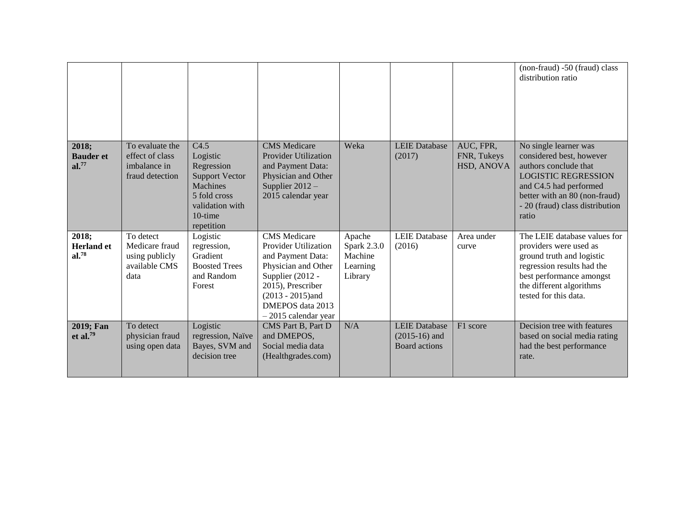|                                          |                                                                        |                                                                                                                                 |                                                                                                                                                                                                    |                                                         |                                                          |                                        | (non-fraud) -50 (fraud) class<br>distribution ratio                                                                                                                                                             |
|------------------------------------------|------------------------------------------------------------------------|---------------------------------------------------------------------------------------------------------------------------------|----------------------------------------------------------------------------------------------------------------------------------------------------------------------------------------------------|---------------------------------------------------------|----------------------------------------------------------|----------------------------------------|-----------------------------------------------------------------------------------------------------------------------------------------------------------------------------------------------------------------|
| 2018;<br><b>Bauder et</b><br>al.77       | To evaluate the<br>effect of class<br>imbalance in<br>fraud detection  | C4.5<br>Logistic<br>Regression<br><b>Support Vector</b><br>Machines<br>5 fold cross<br>validation with<br>10-time<br>repetition | <b>CMS</b> Medicare<br><b>Provider Utilization</b><br>and Payment Data:<br>Physician and Other<br>Supplier $2012 -$<br>2015 calendar year                                                          | Weka                                                    | <b>LEIE Database</b><br>(2017)                           | AUC, FPR,<br>FNR, Tukeys<br>HSD, ANOVA | No single learner was<br>considered best, however<br>authors conclude that<br><b>LOGISTIC REGRESSION</b><br>and C4.5 had performed<br>better with an 80 (non-fraud)<br>- 20 (fraud) class distribution<br>ratio |
| 2018;<br><b>Herland</b> et<br>$al.^{78}$ | To detect<br>Medicare fraud<br>using publicly<br>available CMS<br>data | Logistic<br>regression,<br>Gradient<br><b>Boosted Trees</b><br>and Random<br>Forest                                             | <b>CMS</b> Medicare<br>Provider Utilization<br>and Payment Data:<br>Physician and Other<br>Supplier (2012 -<br>2015), Prescriber<br>$(2013 - 2015)$ and<br>DMEPOS data 2013<br>-2015 calendar year | Apache<br>Spark 2.3.0<br>Machine<br>Learning<br>Library | <b>LEIE</b> Database<br>(2016)                           | Area under<br>curve                    | The LEIE database values for<br>providers were used as<br>ground truth and logistic<br>regression results had the<br>best performance amongst<br>the different algorithms<br>tested for this data.              |
| 2019; Fan<br>et al. $79$                 | To detect<br>physician fraud<br>using open data                        | Logistic<br>regression, Naïve<br>Bayes, SVM and<br>decision tree                                                                | CMS Part B, Part D<br>and DMEPOS,<br>Social media data<br>(Healthgrades.com)                                                                                                                       | N/A                                                     | <b>LEIE Database</b><br>$(2015-16)$ and<br>Board actions | F1 score                               | Decision tree with features<br>based on social media rating<br>had the best performance<br>rate.                                                                                                                |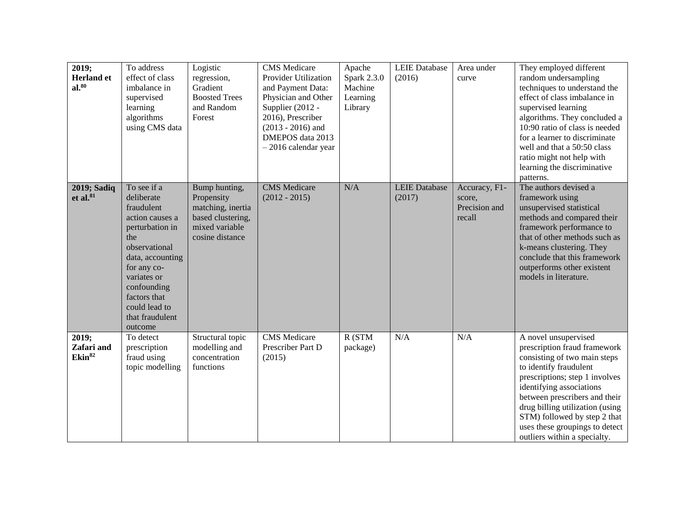| 2019;<br><b>Herland</b> et<br>$al.^{80}$  | To address<br>effect of class<br>imbalance in<br>supervised<br>learning<br>algorithms<br>using CMS data                                                                                                                               | Logistic<br>regression,<br>Gradient<br><b>Boosted Trees</b><br>and Random<br>Forest                        | <b>CMS</b> Medicare<br><b>Provider Utilization</b><br>and Payment Data:<br>Physician and Other<br>Supplier (2012 -<br>2016), Prescriber<br>$(2013 - 2016)$ and<br>DMEPOS data 2013<br>$-2016$ calendar year | Apache<br>Spark 2.3.0<br>Machine<br>Learning<br>Library | <b>LEIE</b> Database<br>(2016) | Area under<br>curve                                | They employed different<br>random undersampling<br>techniques to understand the<br>effect of class imbalance in<br>supervised learning<br>algorithms. They concluded a<br>10:90 ratio of class is needed<br>for a learner to discriminate<br>well and that a 50:50 class<br>ratio might not help with<br>learning the discriminative<br>patterns.  |
|-------------------------------------------|---------------------------------------------------------------------------------------------------------------------------------------------------------------------------------------------------------------------------------------|------------------------------------------------------------------------------------------------------------|-------------------------------------------------------------------------------------------------------------------------------------------------------------------------------------------------------------|---------------------------------------------------------|--------------------------------|----------------------------------------------------|----------------------------------------------------------------------------------------------------------------------------------------------------------------------------------------------------------------------------------------------------------------------------------------------------------------------------------------------------|
| 2019; Sadiq<br>et al. $81$                | To see if a<br>deliberate<br>fraudulent<br>action causes a<br>perturbation in<br>the<br>observational<br>data, accounting<br>for any co-<br>variates or<br>confounding<br>factors that<br>could lead to<br>that fraudulent<br>outcome | Bump hunting,<br>Propensity<br>matching, inertia<br>based clustering,<br>mixed variable<br>cosine distance | <b>CMS</b> Medicare<br>$(2012 - 2015)$                                                                                                                                                                      | N/A                                                     | <b>LEIE Database</b><br>(2017) | Accuracy, F1-<br>score,<br>Precision and<br>recall | The authors devised a<br>framework using<br>unsupervised statistical<br>methods and compared their<br>framework performance to<br>that of other methods such as<br>k-means clustering. They<br>conclude that this framework<br>outperforms other existent<br>models in literature.                                                                 |
| 2019;<br>Zafari and<br>Ekin <sup>82</sup> | To detect<br>prescription<br>fraud using<br>topic modelling                                                                                                                                                                           | Structural topic<br>modelling and<br>concentration<br>functions                                            | <b>CMS</b> Medicare<br>Prescriber Part D<br>(2015)                                                                                                                                                          | R (STM<br>package)                                      | N/A                            | N/A                                                | A novel unsupervised<br>prescription fraud framework<br>consisting of two main steps<br>to identify fraudulent<br>prescriptions; step 1 involves<br>identifying associations<br>between prescribers and their<br>drug billing utilization (using<br>STM) followed by step 2 that<br>uses these groupings to detect<br>outliers within a specialty. |